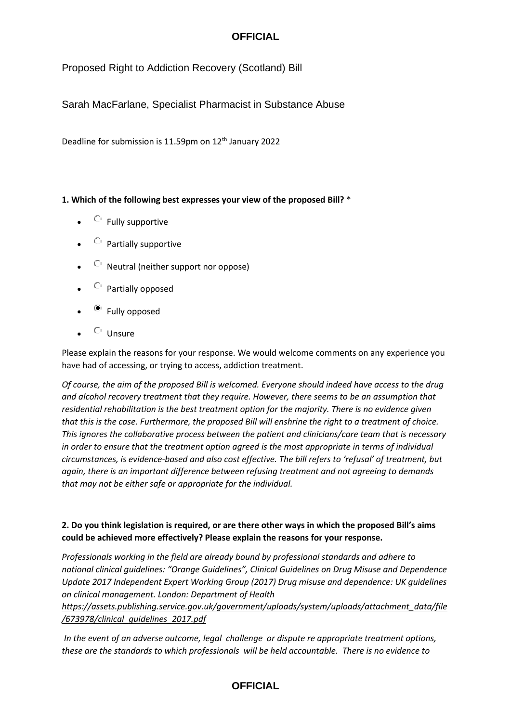## **OFFICIAL**

Proposed Right to Addiction Recovery (Scotland) Bill

Sarah MacFarlane, Specialist Pharmacist in Substance Abuse

Deadline for submission is 11.59pm on 12th January 2022

#### **1. Which of the following best expresses your view of the proposed Bill?** \*

- $\circ$  Fully supportive
- $\circledcirc$  Partially supportive
- $\circ$  Neutral (neither support nor oppose)
- $\circledcirc$  Partially opposed
- $\bullet$  Fully opposed
- $\circ$  Unsure

Please explain the reasons for your response. We would welcome comments on any experience you have had of accessing, or trying to access, addiction treatment.

*Of course, the aim of the proposed Bill is welcomed. Everyone should indeed have access to the drug and alcohol recovery treatment that they require. However, there seems to be an assumption that residential rehabilitation is the best treatment option for the majority. There is no evidence given that this is the case. Furthermore, the proposed Bill will enshrine the right to a treatment of choice. This ignores the collaborative process between the patient and clinicians/care team that is necessary in order to ensure that the treatment option agreed is the most appropriate in terms of individual circumstances, is evidence-based and also cost effective. The bill refers to 'refusal' of treatment, but again, there is an important difference between refusing treatment and not agreeing to demands that may not be either safe or appropriate for the individual.*

#### **2. Do you think legislation is required, or are there other ways in which the proposed Bill's aims could be achieved more effectively? Please explain the reasons for your response.**

*Professionals working in the field are already bound by professional standards and adhere to national clinical guidelines: "Orange Guidelines", Clinical Guidelines on Drug Misuse and Dependence Update 2017 Independent Expert Working Group (2017) Drug misuse and dependence: UK guidelines on clinical management. London: Department of Health* 

*[https://assets.publishing.service.gov.uk/government/uploads/system/uploads/attachment\\_data/file](https://assets.publishing.service.gov.uk/government/uploads/system/uploads/attachment_data/file/673978/clinical_guidelines_2017.pdf) [/673978/clinical\\_guidelines\\_2017.pdf](https://assets.publishing.service.gov.uk/government/uploads/system/uploads/attachment_data/file/673978/clinical_guidelines_2017.pdf)*

*In the event of an adverse outcome, legal challenge or dispute re appropriate treatment options, these are the standards to which professionals will be held accountable. There is no evidence to*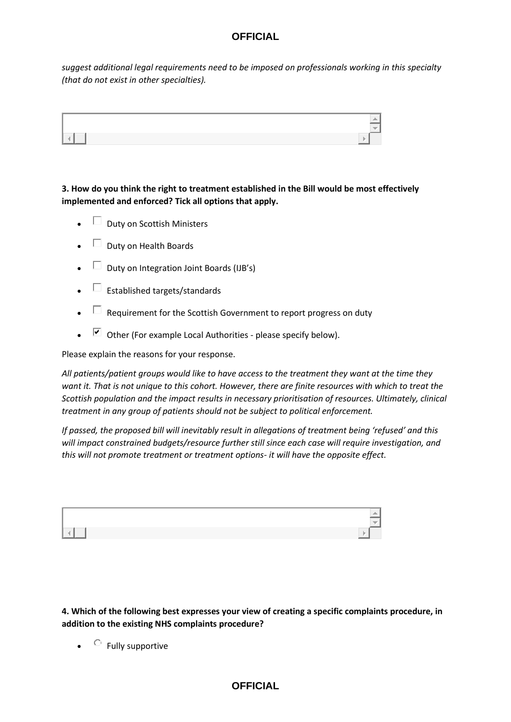# **OFFICIAL**

*suggest additional legal requirements need to be imposed on professionals working in this specialty (that do not exist in other specialties).* 



**3. How do you think the right to treatment established in the Bill would be most effectively implemented and enforced? Tick all options that apply.**

- $\Box$  Duty on Scottish Ministers
- $\Box$  Duty on Health Boards
- $\Box$  Duty on Integration Joint Boards (IJB's)
- $\Box$  Established targets/standards
- $\Box$  Requirement for the Scottish Government to report progress on duty
- $\triangleright$  Other (For example Local Authorities please specify below).

Please explain the reasons for your response.

*All patients/patient groups would like to have access to the treatment they want at the time they want it. That is not unique to this cohort. However, there are finite resources with which to treat the Scottish population and the impact results in necessary prioritisation of resources. Ultimately, clinical treatment in any group of patients should not be subject to political enforcement.*

*If passed, the proposed bill will inevitably result in allegations of treatment being 'refused' and this will impact constrained budgets/resource further still since each case will require investigation, and this will not promote treatment or treatment options- it will have the opposite effect.*

| $\frac{1}{2}$ . The contract of the contract of the contract of the contract of the contract of the contract of the contract of the contract of the contract of the contract of the contract of the contract of the contract of t |  |
|-----------------------------------------------------------------------------------------------------------------------------------------------------------------------------------------------------------------------------------|--|

**4. Which of the following best expresses your view of creating a specific complaints procedure, in addition to the existing NHS complaints procedure?**

 $\bullet$   $\quad$  Fully supportive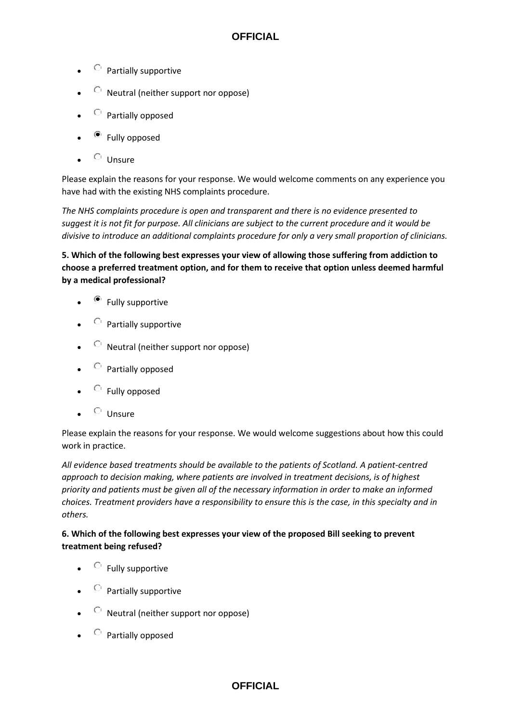- $\circledcirc$  Partially supportive
- $\circledcirc$  Neutral (neither support nor oppose)
- $\circledcirc$  Partially opposed
- Fully opposed
- $\circ$  Unsure

Please explain the reasons for your response. We would welcome comments on any experience you have had with the existing NHS complaints procedure.

*The NHS complaints procedure is open and transparent and there is no evidence presented to suggest it is not fit for purpose. All clinicians are subject to the current procedure and it would be divisive to introduce an additional complaints procedure for only a very small proportion of clinicians.*

**5. Which of the following best expresses your view of allowing those suffering from addiction to choose a preferred treatment option, and for them to receive that option unless deemed harmful by a medical professional?**

- $\bullet$  Fully supportive
- $\circledcirc$  Partially supportive
- $\circledcirc$  Neutral (neither support nor oppose)
- $\circ$  Partially opposed
- $\circ$  Fully opposed
- $\circ$  Unsure

Please explain the reasons for your response. We would welcome suggestions about how this could work in practice.

*All evidence based treatments should be available to the patients of Scotland. A patient-centred approach to decision making, where patients are involved in treatment decisions, is of highest priority and patients must be given all of the necessary information in order to make an informed choices. Treatment providers have a responsibility to ensure this is the case, in this specialty and in others.* 

#### **6. Which of the following best expresses your view of the proposed Bill seeking to prevent treatment being refused?**

- $\circ$  Fully supportive
- $\circledcirc$  Partially supportive
- $\circ$  Neutral (neither support nor oppose)
- $\circ$  Partially opposed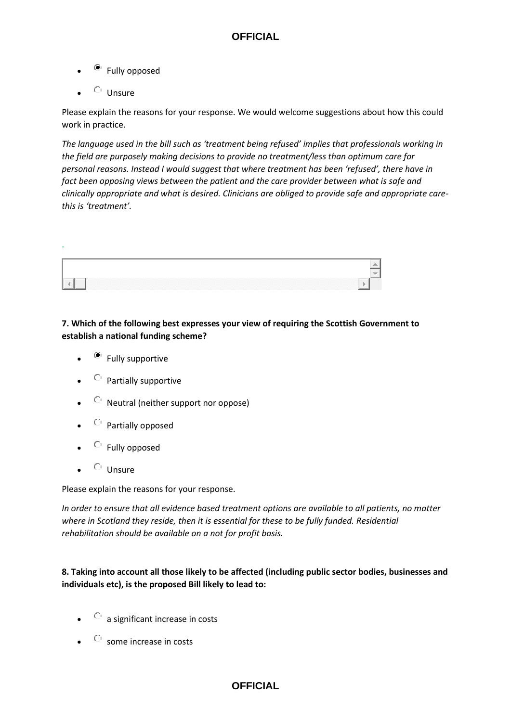- Fully opposed
- $\circ$  Unsure

.

Please explain the reasons for your response. We would welcome suggestions about how this could work in practice.

*The language used in the bill such as 'treatment being refused' implies that professionals working in the field are purposely making decisions to provide no treatment/less than optimum care for personal reasons. Instead I would suggest that where treatment has been 'refused', there have in fact been opposing views between the patient and the care provider between what is safe and clinically appropriate and what is desired. Clinicians are obliged to provide safe and appropriate carethis is 'treatment'.*



#### **7. Which of the following best expresses your view of requiring the Scottish Government to establish a national funding scheme?**

- $\bullet$  Fully supportive
- $\circledcirc$  Partially supportive
- $\circledcirc$  Neutral (neither support nor oppose)
- $\circledcirc$  Partially opposed
- $\circ$  Fully opposed
- $\circ$  Unsure

Please explain the reasons for your response.

*In order to ensure that all evidence based treatment options are available to all patients, no matter where in Scotland they reside, then it is essential for these to be fully funded. Residential rehabilitation should be available on a not for profit basis.* 

#### **8. Taking into account all those likely to be affected (including public sector bodies, businesses and individuals etc), is the proposed Bill likely to lead to:**

- $\circ$  a significant increase in costs
- $\bullet$  Some increase in costs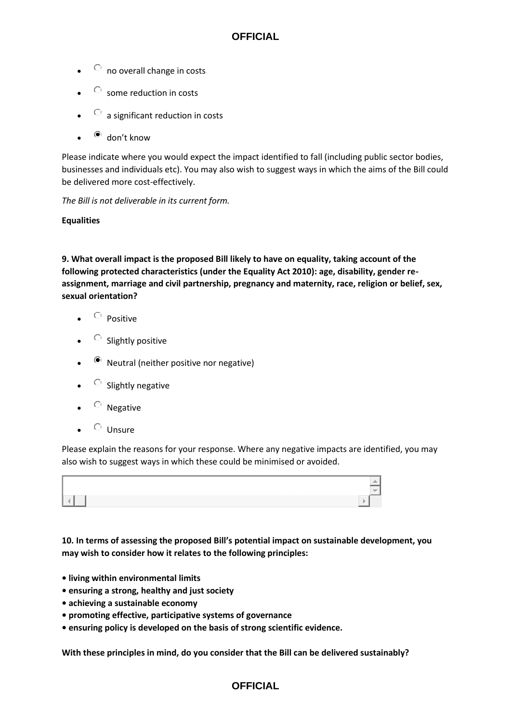### **OFFICIAL**

- $\circ$  no overall change in costs
- $\circ$  some reduction in costs
- $\circledcirc$  a significant reduction in costs
- $\bullet$  don't know

Please indicate where you would expect the impact identified to fall (including public sector bodies, businesses and individuals etc). You may also wish to suggest ways in which the aims of the Bill could be delivered more cost-effectively.

*The Bill is not deliverable in its current form.* 

#### **Equalities**

**9. What overall impact is the proposed Bill likely to have on equality, taking account of the following protected characteristics (under the Equality Act 2010): age, disability, gender reassignment, marriage and civil partnership, pregnancy and maternity, race, religion or belief, sex, sexual orientation?**

- Positive
- $\circ$  Slightly positive
- Neutral (neither positive nor negative)
- $\circ$  Slightly negative
- $\circ$  Negative
- $\circ$  Unsure

Please explain the reasons for your response. Where any negative impacts are identified, you may also wish to suggest ways in which these could be minimised or avoided.



**10. In terms of assessing the proposed Bill's potential impact on sustainable development, you may wish to consider how it relates to the following principles:**

- **living within environmental limits**
- **ensuring a strong, healthy and just society**
- **achieving a sustainable economy**
- **promoting effective, participative systems of governance**
- **ensuring policy is developed on the basis of strong scientific evidence.**

**With these principles in mind, do you consider that the Bill can be delivered sustainably?**